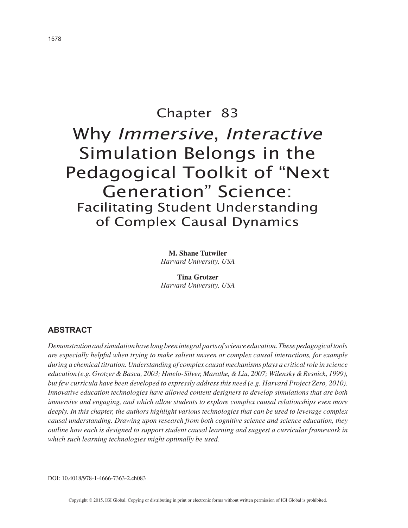# Chapter 83 Why Immersive, Interactive Simulation Belongs in the Pedagogical Toolkit of "Next Generation" Science: Facilitating Student Understanding of Complex Causal Dynamics

**M. Shane Tutwiler** *Harvard University, USA*

**Tina Grotzer** *Harvard University, USA*

# **ABSTRACT**

*Demonstration and simulation have long been integral parts of science education. These pedagogical tools are especially helpful when trying to make salient unseen or complex causal interactions, for example during a chemical titration. Understanding of complex causal mechanisms plays a critical role in science education (e.g. Grotzer & Basca, 2003; Hmelo-Silver, Marathe, & Liu, 2007; Wilensky & Resnick, 1999), but few curricula have been developed to expressly address this need (e.g. Harvard Project Zero, 2010). Innovative education technologies have allowed content designers to develop simulations that are both immersive and engaging, and which allow students to explore complex causal relationships even more deeply. In this chapter, the authors highlight various technologies that can be used to leverage complex causal understanding. Drawing upon research from both cognitive science and science education, they outline how each is designed to support student causal learning and suggest a curricular framework in which such learning technologies might optimally be used.*

DOI: 10.4018/978-1-4666-7363-2.ch083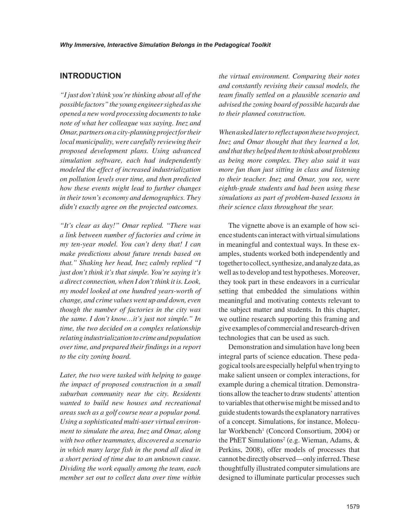## **INTRODUCTION**

*"I just don't think you're thinking about all of the possible factors" the young engineer sighed as she opened a new word processing documents to take note of what her colleague was saying. Inez and Omar, partners on a city-planning project for their local municipality, were carefully reviewing their proposed development plans. Using advanced simulation software, each had independently modeled the effect of increased industrialization on pollution levels over time, and then predicted how these events might lead to further changes in their town's economy and demographics. They didn't exactly agree on the projected outcomes.*

*"It's clear as day!" Omar replied. "There was a link between number of factories and crime in my ten-year model. You can't deny that! I can make predictions about future trends based on that." Shaking her head, Inez calmly replied "I just don't think it's that simple. You're saying it's a direct connection, when I don't think it is. Look, my model looked at one hundred years-worth of change, and crime values went up and down, even though the number of factories in the city was the same. I don't know…it's just not simple." In time, the two decided on a complex relationship relating industrialization to crime and population over time, and prepared their findings in a report to the city zoning board.*

*Later, the two were tasked with helping to gauge the impact of proposed construction in a small suburban community near the city. Residents wanted to build new houses and recreational areas such as a golf course near a popular pond. Using a sophisticated multi-user virtual environment to simulate the area, Inez and Omar, along with two other teammates, discovered a scenario in which many large fish in the pond all died in a short period of time due to an unknown cause. Dividing the work equally among the team, each member set out to collect data over time within* 

*the virtual environment. Comparing their notes and constantly revising their causal models, the team finally settled on a plausible scenario and advised the zoning board of possible hazards due to their planned construction.*

*When asked later to reflect upon these two project, Inez and Omar thought that they learned a lot, and that they helped them to think about problems as being more complex. They also said it was more fun than just sitting in class and listening to their teacher. Inez and Omar, you see, were eighth-grade students and had been using these simulations as part of problem-based lessons in their science class throughout the year.* 

The vignette above is an example of how science students can interact with virtual simulations in meaningful and contextual ways. In these examples, students worked both independently and together to collect, synthesize, and analyze data, as well as to develop and test hypotheses. Moreover, they took part in these endeavors in a curricular setting that embedded the simulations within meaningful and motivating contexts relevant to the subject matter and students. In this chapter, we outline research supporting this framing and give examples of commercial and research-driven technologies that can be used as such.

Demonstration and simulation have long been integral parts of science education. These pedagogical tools are especially helpful when trying to make salient unseen or complex interactions, for example during a chemical titration. Demonstrations allow the teacher to draw students' attention to variables that otherwise might be missed and to guide students towards the explanatory narratives of a concept. Simulations, for instance, Molecular Workbench<sup>1</sup> (Concord Consortium, 2004) or the PhET Simulations<sup>2</sup> (e.g. Wieman, Adams,  $\&$ Perkins, 2008), offer models of processes that cannot be directly observed—only inferred. These thoughtfully illustrated computer simulations are designed to illuminate particular processes such